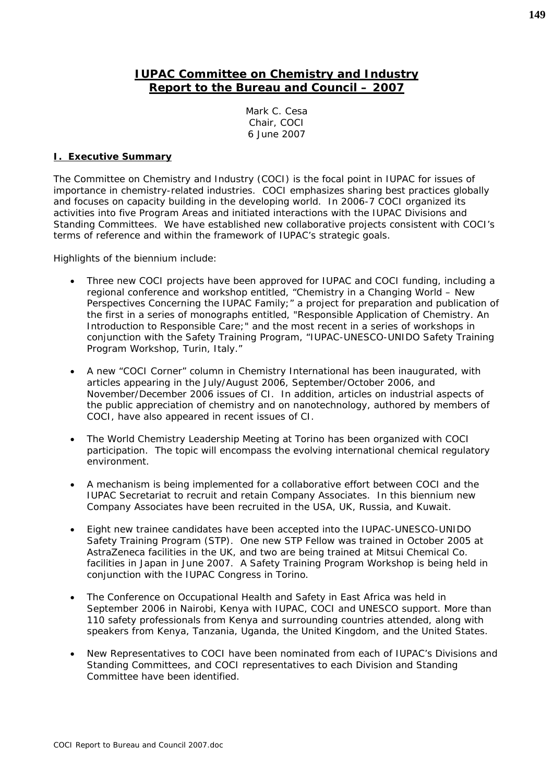# **IUPAC Committee on Chemistry and Industry Report to the Bureau and Council – 2007**

Mark C. Cesa Chair, COCI 6 June 2007

### **I. Executive Summary**

The Committee on Chemistry and Industry (COCI) is the focal point in IUPAC for issues of importance in chemistry-related industries. COCI emphasizes sharing best practices globally and focuses on capacity building in the developing world. In 2006-7 COCI organized its activities into five Program Areas and initiated interactions with the IUPAC Divisions and Standing Committees. We have established new collaborative projects consistent with COCI's terms of reference and within the framework of IUPAC's strategic goals.

Highlights of the biennium include:

- Three new COCI projects have been approved for IUPAC and COCI funding, including a regional conference and workshop entitled, "Chemistry in a Changing World – New Perspectives Concerning the IUPAC Family;" a project for preparation and publication of the first in a series of monographs entitled, "Responsible Application of Chemistry. An Introduction to Responsible Care;" and the most recent in a series of workshops in conjunction with the Safety Training Program, "IUPAC-UNESCO-UNIDO Safety Training Program Workshop, Turin, Italy."
- A new "COCI Corner" column in *Chemistry International* has been inaugurated, with articles appearing in the July/August 2006, September/October 2006, and November/December 2006 issues of *CI*. In addition, articles on industrial aspects of the public appreciation of chemistry and on nanotechnology, authored by members of COCI, have also appeared in recent issues of *CI*.
- The World Chemistry Leadership Meeting at Torino has been organized with COCI participation. The topic will encompass the evolving international chemical regulatory environment.
- A mechanism is being implemented for a collaborative effort between COCI and the IUPAC Secretariat to recruit and retain Company Associates. In this biennium new Company Associates have been recruited in the USA, UK, Russia, and Kuwait.
- Eight new trainee candidates have been accepted into the IUPAC-UNESCO-UNIDO Safety Training Program (STP). One new STP Fellow was trained in October 2005 at AstraZeneca facilities in the UK, and two are being trained at Mitsui Chemical Co. facilities in Japan in June 2007. A Safety Training Program Workshop is being held in conjunction with the IUPAC Congress in Torino.
- The Conference on Occupational Health and Safety in East Africa was held in September 2006 in Nairobi, Kenya with IUPAC, COCI and UNESCO support. More than 110 safety professionals from Kenya and surrounding countries attended, along with speakers from Kenya, Tanzania, Uganda, the United Kingdom, and the United States.
- New Representatives to COCI have been nominated from each of IUPAC's Divisions and Standing Committees, and COCI representatives to each Division and Standing Committee have been identified.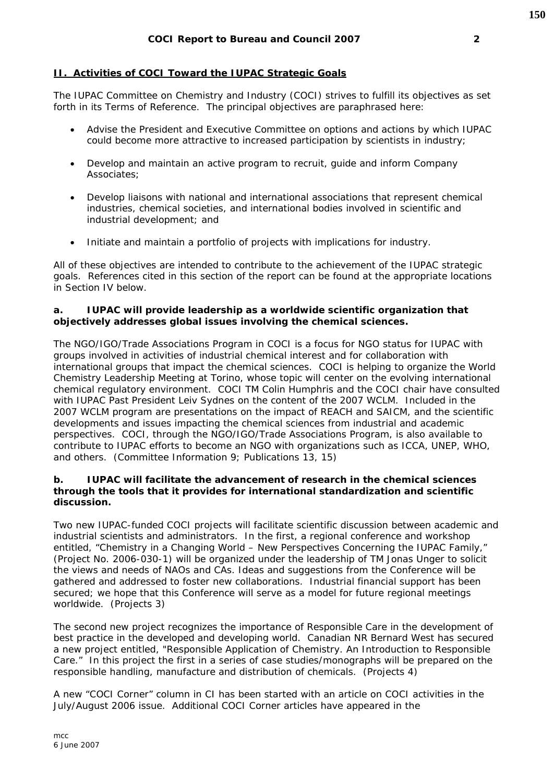## **II. Activities of COCI Toward the IUPAC Strategic Goals**

The IUPAC Committee on Chemistry and Industry (COCI) strives to fulfill its objectives as set forth in its Terms of Reference. The principal objectives are paraphrased here:

- Advise the President and Executive Committee on options and actions by which IUPAC could become more attractive to increased participation by scientists in industry;
- Develop and maintain an active program to recruit, guide and inform Company Associates;
- Develop liaisons with national and international associations that represent chemical industries, chemical societies, and international bodies involved in scientific and industrial development; and
- Initiate and maintain a portfolio of projects with implications for industry.

All of these objectives are intended to contribute to the achievement of the IUPAC strategic goals. References cited in this section of the report can be found at the appropriate locations in Section IV below.

#### *a. IUPAC will provide leadership as a worldwide scientific organization that objectively addresses global issues involving the chemical sciences.*

The NGO/IGO/Trade Associations Program in COCI is a focus for NGO status for IUPAC with groups involved in activities of industrial chemical interest and for collaboration with international groups that impact the chemical sciences. COCI is helping to organize the World Chemistry Leadership Meeting at Torino, whose topic will center on the evolving international chemical regulatory environment. COCI TM Colin Humphris and the COCI chair have consulted with IUPAC Past President Leiv Sydnes on the content of the 2007 WCLM. Included in the 2007 WCLM program are presentations on the impact of REACH and SAICM, and the scientific developments and issues impacting the chemical sciences from industrial and academic perspectives. COCI, through the NGO/IGO/Trade Associations Program, is also available to contribute to IUPAC efforts to become an NGO with organizations such as ICCA, UNEP, WHO, and others. *(Committee Information 9; Publications 13, 15)*

#### *b. IUPAC will facilitate the advancement of research in the chemical sciences through the tools that it provides for international standardization and scientific discussion.*

Two new IUPAC-funded COCI projects will facilitate scientific discussion between academic and industrial scientists and administrators. In the first, a regional conference and workshop entitled, "Chemistry in a Changing World – New Perspectives Concerning the IUPAC Family," (Project No. 2006-030-1) will be organized under the leadership of TM Jonas Unger to solicit the views and needs of NAOs and CAs. Ideas and suggestions from the Conference will be gathered and addressed to foster new collaborations. Industrial financial support has been secured; we hope that this Conference will serve as a model for future regional meetings worldwide. *(Projects 3)*

The second new project recognizes the importance of Responsible Care in the development of best practice in the developed and developing world. Canadian NR Bernard West has secured a new project entitled, "Responsible Application of Chemistry. An Introduction to Responsible Care." In this project the first in a series of case studies/monographs will be prepared on the responsible handling, manufacture and distribution of chemicals. *(Projects 4)*

A new "COCI Corner" column in *CI* has been started with an article on COCI activities in the July/August 2006 issue. Additional COCI Corner articles have appeared in the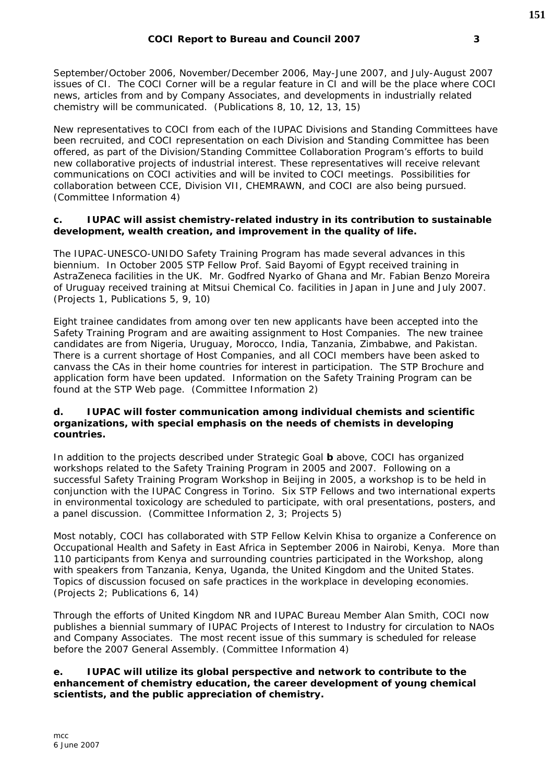September/October 2006, November/December 2006, May-June 2007, and July-August 2007 issues of *CI*. The COCI Corner will be a regular feature in *CI* and will be the place where COCI news, articles from and by Company Associates, and developments in industrially related chemistry will be communicated. *(Publications 8, 10, 12, 13, 15)*

New representatives to COCI from each of the IUPAC Divisions and Standing Committees have been recruited, and COCI representation on each Division and Standing Committee has been offered, as part of the Division/Standing Committee Collaboration Program's efforts to build new collaborative projects of industrial interest. These representatives will receive relevant communications on COCI activities and will be invited to COCI meetings. Possibilities for collaboration between CCE, Division VII, CHEMRAWN, and COCI are also being pursued. *(Committee Information 4)*

### *c. IUPAC will assist chemistry-related industry in its contribution to sustainable development, wealth creation, and improvement in the quality of life.*

The IUPAC-UNESCO-UNIDO Safety Training Program has made several advances in this biennium. In October 2005 STP Fellow Prof. Said Bayomi of Egypt received training in AstraZeneca facilities in the UK. Mr. Godfred Nyarko of Ghana and Mr. Fabian Benzo Moreira of Uruguay received training at Mitsui Chemical Co. facilities in Japan in June and July 2007. *(Projects 1, Publications 5, 9, 10)*

Eight trainee candidates from among over ten new applicants have been accepted into the Safety Training Program and are awaiting assignment to Host Companies. The new trainee candidates are from Nigeria, Uruguay, Morocco, India, Tanzania, Zimbabwe, and Pakistan. There is a current shortage of Host Companies, and all COCI members have been asked to canvass the CAs in their home countries for interest in participation. The STP Brochure and application form have been updated. Information on the Safety Training Program can be found at the STP Web page. *(Committee Information 2)*

#### *d. IUPAC will foster communication among individual chemists and scientific organizations, with special emphasis on the needs of chemists in developing countries.*

In addition to the projects described under Strategic Goal *b* above, COCI has organized workshops related to the Safety Training Program in 2005 and 2007. Following on a successful Safety Training Program Workshop in Beijing in 2005, a workshop is to be held in conjunction with the IUPAC Congress in Torino. Six STP Fellows and two international experts in environmental toxicology are scheduled to participate, with oral presentations, posters, and a panel discussion. *(Committee Information 2, 3; Projects 5)*

Most notably, COCI has collaborated with STP Fellow Kelvin Khisa to organize a Conference on Occupational Health and Safety in East Africa in September 2006 in Nairobi, Kenya. More than 110 participants from Kenya and surrounding countries participated in the Workshop, along with speakers from Tanzania, Kenya, Uganda, the United Kingdom and the United States. Topics of discussion focused on safe practices in the workplace in developing economies. *(Projects 2; Publications 6, 14)*

Through the efforts of United Kingdom NR and IUPAC Bureau Member Alan Smith, COCI now publishes a biennial summary of IUPAC Projects of Interest to Industry for circulation to NAOs and Company Associates. The most recent issue of this summary is scheduled for release before the 2007 General Assembly. *(Committee Information 4)*

### *e. IUPAC will utilize its global perspective and network to contribute to the enhancement of chemistry education, the career development of young chemical scientists, and the public appreciation of chemistry.*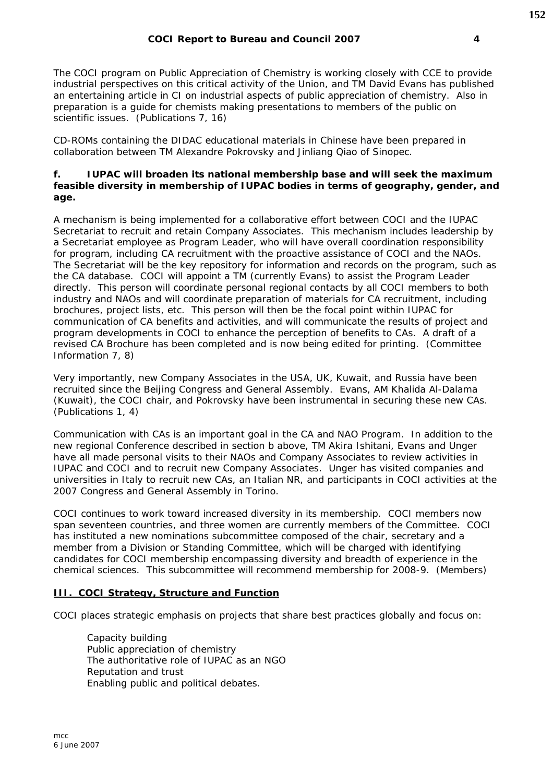The COCI program on Public Appreciation of Chemistry is working closely with CCE to provide industrial perspectives on this critical activity of the Union, and TM David Evans has published an entertaining article in *CI* on industrial aspects of public appreciation of chemistry. Also in preparation is a guide for chemists making presentations to members of the public on scientific issues. *(Publications 7, 16)*

CD-ROMs containing the DIDAC educational materials in Chinese have been prepared in collaboration between TM Alexandre Pokrovsky and Jinliang Qiao of Sinopec.

### *f. IUPAC will broaden its national membership base and will seek the maximum*  feasible diversity in membership of IUPAC bodies in terms of geography, gender, and *age.*

A mechanism is being implemented for a collaborative effort between COCI and the IUPAC Secretariat to recruit and retain Company Associates. This mechanism includes leadership by a Secretariat employee as Program Leader, who will have overall coordination responsibility for program, including CA recruitment with the proactive assistance of COCI and the NAOs. The Secretariat will be the key repository for information and records on the program, such as the CA database. COCI will appoint a TM (currently Evans) to assist the Program Leader directly. This person will coordinate personal regional contacts by all COCI members to both industry and NAOs and will coordinate preparation of materials for CA recruitment, including brochures, project lists, etc. This person will then be the focal point within IUPAC for communication of CA benefits and activities, and will communicate the results of project and program developments in COCI to enhance the perception of benefits to CAs. A draft of a revised CA Brochure has been completed and is now being edited for printing. *(Committee Information 7, 8)*

Very importantly, new Company Associates in the USA, UK, Kuwait, and Russia have been recruited since the Beijing Congress and General Assembly. Evans, AM Khalida Al-Dalama (Kuwait), the COCI chair, and Pokrovsky have been instrumental in securing these new CAs. *(Publications 1, 4)*

Communication with CAs is an important goal in the CA and NAO Program. In addition to the new regional Conference described in section b above, TM Akira Ishitani, Evans and Unger have all made personal visits to their NAOs and Company Associates to review activities in IUPAC and COCI and to recruit new Company Associates. Unger has visited companies and universities in Italy to recruit new CAs, an Italian NR, and participants in COCI activities at the 2007 Congress and General Assembly in Torino.

COCI continues to work toward increased diversity in its membership. COCI members now span seventeen countries, and three women are currently members of the Committee. COCI has instituted a new nominations subcommittee composed of the chair, secretary and a member from a Division or Standing Committee, which will be charged with identifying candidates for COCI membership encompassing diversity and breadth of experience in the chemical sciences. This subcommittee will recommend membership for 2008-9. *(Members)*

## **III. COCI Strategy, Structure and Function**

COCI places strategic emphasis on projects that share best practices globally and focus on:

 Capacity building Public appreciation of chemistry The authoritative role of IUPAC as an NGO Reputation and trust Enabling public and political debates.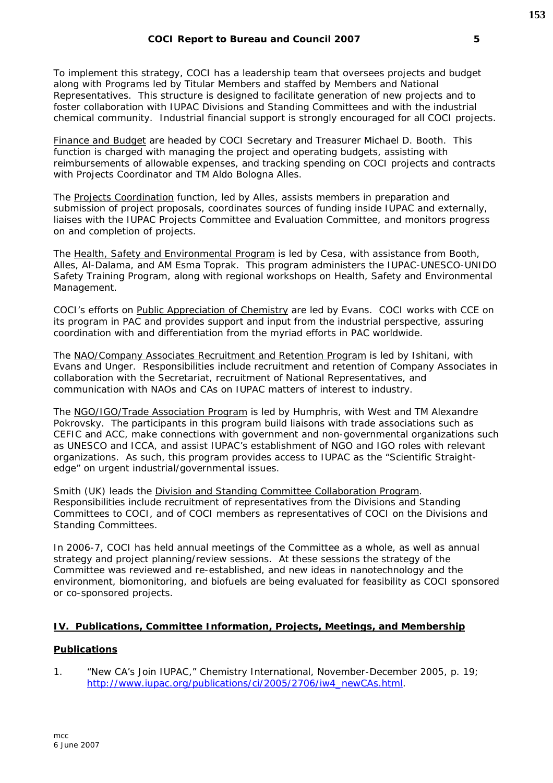To implement this strategy, COCI has a leadership team that oversees projects and budget along with Programs led by Titular Members and staffed by Members and National Representatives. This structure is designed to facilitate generation of new projects and to foster collaboration with IUPAC Divisions and Standing Committees and with the industrial chemical community. Industrial financial support is strongly encouraged for all COCI projects.

Finance and Budget are headed by COCI Secretary and Treasurer Michael D. Booth. This function is charged with managing the project and operating budgets, assisting with reimbursements of allowable expenses, and tracking spending on COCI projects and contracts with Projects Coordinator and TM Aldo Bologna Alles.

The Projects Coordination function, led by Alles, assists members in preparation and submission of project proposals, coordinates sources of funding inside IUPAC and externally, liaises with the IUPAC Projects Committee and Evaluation Committee, and monitors progress on and completion of projects.

The Health, Safety and Environmental Program is led by Cesa, with assistance from Booth, Alles, Al-Dalama, and AM Esma Toprak. This program administers the IUPAC-UNESCO-UNIDO Safety Training Program, along with regional workshops on Health, Safety and Environmental Management.

COCI's efforts on Public Appreciation of Chemistry are led by Evans. COCI works with CCE on its program in PAC and provides support and input from the industrial perspective, assuring coordination with and differentiation from the myriad efforts in PAC worldwide.

The NAO/Company Associates Recruitment and Retention Program is led by Ishitani, with Evans and Unger. Responsibilities include recruitment and retention of Company Associates in collaboration with the Secretariat, recruitment of National Representatives, and communication with NAOs and CAs on IUPAC matters of interest to industry.

The NGO/IGO/Trade Association Program is led by Humphris, with West and TM Alexandre Pokrovsky. The participants in this program build liaisons with trade associations such as CEFIC and ACC, make connections with government and non-governmental organizations such as UNESCO and ICCA, and assist IUPAC's establishment of NGO and IGO roles with relevant organizations. As such, this program provides access to IUPAC as the "Scientific Straightedge" on urgent industrial/governmental issues.

Smith (UK) leads the Division and Standing Committee Collaboration Program. Responsibilities include recruitment of representatives from the Divisions and Standing Committees to COCI, and of COCI members as representatives of COCI on the Divisions and Standing Committees.

In 2006-7, COCI has held annual meetings of the Committee as a whole, as well as annual strategy and project planning/review sessions. At these sessions the strategy of the Committee was reviewed and re-established, and new ideas in nanotechnology and the environment, biomonitoring, and biofuels are being evaluated for feasibility as COCI sponsored or co-sponsored projects.

#### **IV. Publications, Committee Information, Projects, Meetings, and Membership**

#### **Publications**

1. "New CA's Join IUPAC," *Chemistry International*, November-December 2005, p. 19; http://www.iupac.org/publications/ci/2005/2706/iw4\_newCAs.html.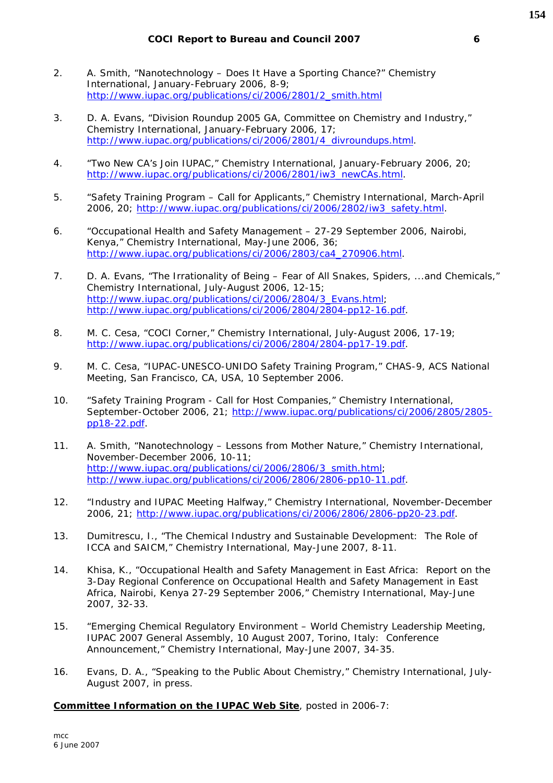- 2. A. Smith, "Nanotechnology Does It Have a Sporting Chance?" *Chemistry International*, January-February 2006, 8-9; http://www.iupac.org/publications/ci/2006/2801/2\_smith.html
- 3. D. A. Evans, "Division Roundup 2005 GA, Committee on Chemistry and Industry," *Chemistry International*, January-February 2006, 17; http://www.iupac.org/publications/ci/2006/2801/4\_divroundups.html.
- 4. "Two New CA's Join IUPAC," *Chemistry International*, January-February 2006, 20; http://www.iupac.org/publications/ci/2006/2801/iw3\_newCAs.html.
- 5. "Safety Training Program Call for Applicants," *Chemistry International*, March-April 2006, 20; http://www.iupac.org/publications/ci/2006/2802/iw3\_safety.html.
- 6. "Occupational Health and Safety Management 27-29 September 2006, Nairobi, Kenya," *Chemistry International*, May-June 2006, 36; http://www.iupac.org/publications/ci/2006/2803/ca4\_270906.html.
- 7. D. A. Evans, "The Irrationality of Being Fear of All Snakes, Spiders, ...and Chemicals," *Chemistry International*, July-August 2006, 12-15; http://www.iupac.org/publications/ci/2006/2804/3\_Evans.html; http://www.iupac.org/publications/ci/2006/2804/2804-pp12-16.pdf.
- 8. M. C. Cesa, "COCI Corner," *Chemistry International*, July-August 2006, 17-19; http://www.iupac.org/publications/ci/2006/2804/2804-pp17-19.pdf.
- 9. M. C. Cesa, "IUPAC-UNESCO-UNIDO Safety Training Program," CHAS-9, ACS National Meeting, San Francisco, CA, USA, 10 September 2006.
- 10. "Safety Training Program Call for Host Companies," *Chemistry International*, September-October 2006, 21; http://www.iupac.org/publications/ci/2006/2805/2805 pp18-22.pdf.
- 11. A. Smith, "Nanotechnology Lessons from Mother Nature," *Chemistry International*, November-December 2006, 10-11; http://www.iupac.org/publications/ci/2006/2806/3\_smith.html; http://www.iupac.org/publications/ci/2006/2806/2806-pp10-11.pdf.
- 12. "Industry and IUPAC Meeting Halfway," *Chemistry International*, November-December 2006, 21; http://www.iupac.org/publications/ci/2006/2806/2806-pp20-23.pdf.
- 13. Dumitrescu, I., "The Chemical Industry and Sustainable Development: The Role of ICCA and SAICM," *Chemistry International*, May-June 2007, 8-11.
- 14. Khisa, K., "Occupational Health and Safety Management in East Africa: Report on the 3-Day Regional Conference on Occupational Health and Safety Management in East Africa, Nairobi, Kenya 27-29 September 2006," *Chemistry International*, May-June 2007, 32-33.
- 15. "Emerging Chemical Regulatory Environment World Chemistry Leadership Meeting, IUPAC 2007 General Assembly, 10 August 2007, Torino, Italy: Conference Announcement," *Chemistry International*, May-June 2007, 34-35.
- 16. Evans, D. A., "Speaking to the Public About Chemistry," *Chemistry International*, July-August 2007, in press.

**Committee Information on the IUPAC Web Site**, posted in 2006-7: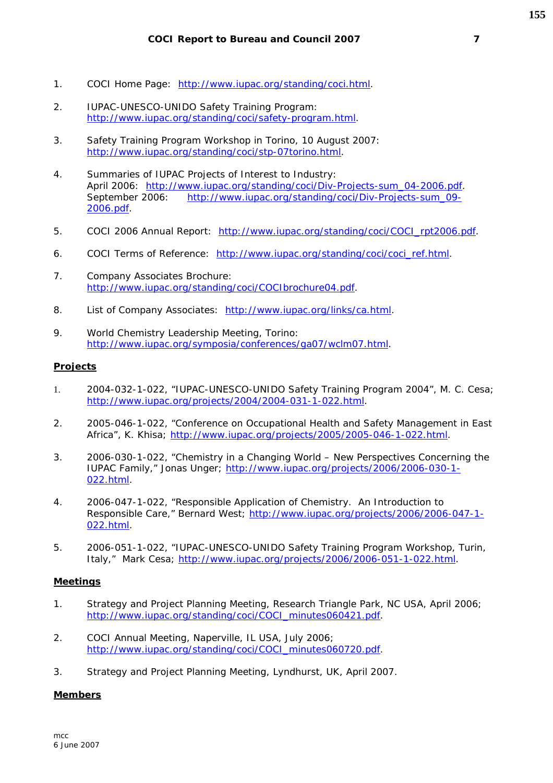- 1. COCI Home Page: http://www.iupac.org/standing/coci.html.
- 2. IUPAC-UNESCO-UNIDO Safety Training Program: http://www.iupac.org/standing/coci/safety-program.html.
- 3. Safety Training Program Workshop in Torino, 10 August 2007: http://www.iupac.org/standing/coci/stp-07torino.html.
- 4. Summaries of IUPAC Projects of Interest to Industry: April 2006: http://www.iupac.org/standing/coci/Div-Projects-sum\_04-2006.pdf. September 2006: http://www.iupac.org/standing/coci/Div-Projects-sum\_09-2006.pdf.
- 5. COCI 2006 Annual Report: http://www.iupac.org/standing/coci/COCI\_rpt2006.pdf.
- 6. COCI Terms of Reference: http://www.iupac.org/standing/coci/coci\_ref.html.
- 7. Company Associates Brochure: http://www.iupac.org/standing/coci/COCIbrochure04.pdf.
- 8. List of Company Associates: http://www.iupac.org/links/ca.html.
- 9. World Chemistry Leadership Meeting, Torino: http://www.iupac.org/symposia/conferences/ga07/wclm07.html.

#### **Projects**

- 1. 2004-032-1-022, "IUPAC-UNESCO-UNIDO Safety Training Program 2004", M. C. Cesa; http://www.iupac.org/projects/2004/2004-031-1-022.html.
- 2. 2005-046-1-022, "Conference on Occupational Health and Safety Management in East Africa", K. Khisa; http://www.iupac.org/projects/2005/2005-046-1-022.html.
- 3. 2006-030-1-022, "Chemistry in a Changing World New Perspectives Concerning the IUPAC Family," Jonas Unger; http://www.iupac.org/projects/2006/2006-030-1- 022.html.
- 4. 2006-047-1-022, "Responsible Application of Chemistry. An Introduction to Responsible Care," Bernard West; http://www.iupac.org/projects/2006/2006-047-1- 022.html.
- 5. 2006-051-1-022, "IUPAC-UNESCO-UNIDO Safety Training Program Workshop, Turin, Italy," Mark Cesa; http://www.iupac.org/projects/2006/2006-051-1-022.html.

#### **Meetings**

- 1. Strategy and Project Planning Meeting, Research Triangle Park, NC USA, April 2006; http://www.iupac.org/standing/coci/COCI\_minutes060421.pdf.
- 2. COCI Annual Meeting, Naperville, IL USA, July 2006; http://www.iupac.org/standing/coci/COCI\_minutes060720.pdf.
- 3. Strategy and Project Planning Meeting, Lyndhurst, UK, April 2007.

#### **Members**